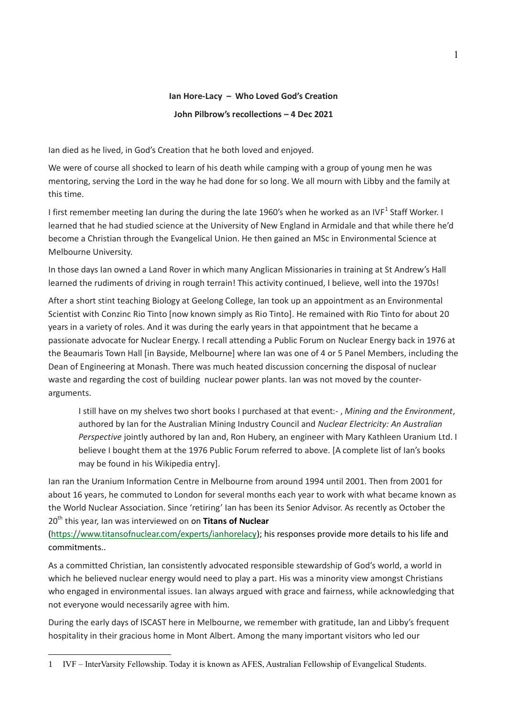## **Ian Hore-Lacy – Who Loved God's Creation John Pilbrow's recollections – 4 Dec 2021**

Ian died as he lived, in God's Creation that he both loved and enjoyed.

We were of course all shocked to learn of his death while camping with a group of young men he was mentoring, serving the Lord in the way he had done for so long. We all mourn with Libby and the family at this time.

I first remember meeting Ian during the during the late 1960's when he worked as an IVF<sup>1</sup> Staff Worker. I learned that he had studied science at the University of New England in Armidale and that while there he'd become a Christian through the Evangelical Union. He then gained an MSc in Environmental Science at Melbourne University.

In those days Ian owned a Land Rover in which many Anglican Missionaries in training at St Andrew's Hall learned the rudiments of driving in rough terrain! This activity continued, I believe, well into the 1970s!

After a short stint teaching Biology at Geelong College, Ian took up an appointment as an Environmental Scientist with Conzinc Rio Tinto [now known simply as Rio Tinto]. He remained with Rio Tinto for about 20 years in a variety of roles. And it was during the early years in that appointment that he became a passionate advocate for Nuclear Energy. I recall attending a Public Forum on Nuclear Energy back in 1976 at the Beaumaris Town Hall [in Bayside, Melbourne] where Ian was one of 4 or 5 Panel Members, including the Dean of Engineering at Monash. There was much heated discussion concerning the disposal of nuclear waste and regarding the cost of building nuclear power plants. Ian was not moved by the counterarguments.

I still have on my shelves two short books I purchased at that event:- , *Mining and the Environment*, authored by Ian for the Australian Mining Industry Council and *Nuclear Electricity: An Australian Perspective* jointly authored by Ian and, Ron Hubery, an engineer with Mary Kathleen Uranium Ltd. I believe I bought them at the 1976 Public Forum referred to above. [A complete list of Ian's books may be found in his Wikipedia entry].

Ian ran the Uranium Information Centre in Melbourne from around 1994 until 2001. Then from 2001 for about 16 years, he commuted to London for several months each year to work with what became known as the World Nuclear Association. Since 'retiring' Ian has been its Senior Advisor. As recently as October the 20<sup>th</sup> this year, Ian was interviewed on on Titans of Nuclear

[\(https://www.titansofnuclear.com/experts/ianhorelacy\)](https://www.titansofnuclear.com/experts/ianhorelacy); his responses provide more details to his life and commitments..

As a committed Christian, Ian consistently advocated responsible stewardship of God's world, a world in which he believed nuclear energy would need to play a part. His was a minority view amongst Christians who engaged in environmental issues. Ian always argued with grace and fairness, while acknowledging that not everyone would necessarily agree with him.

During the early days of ISCAST here in Melbourne, we remember with gratitude, Ian and Libby's frequent hospitality in their gracious home in Mont Albert. Among the many important visitors who led our

<sup>1</sup> IVF – InterVarsity Fellowship. Today it is known as AFES, Australian Fellowship of Evangelical Students.